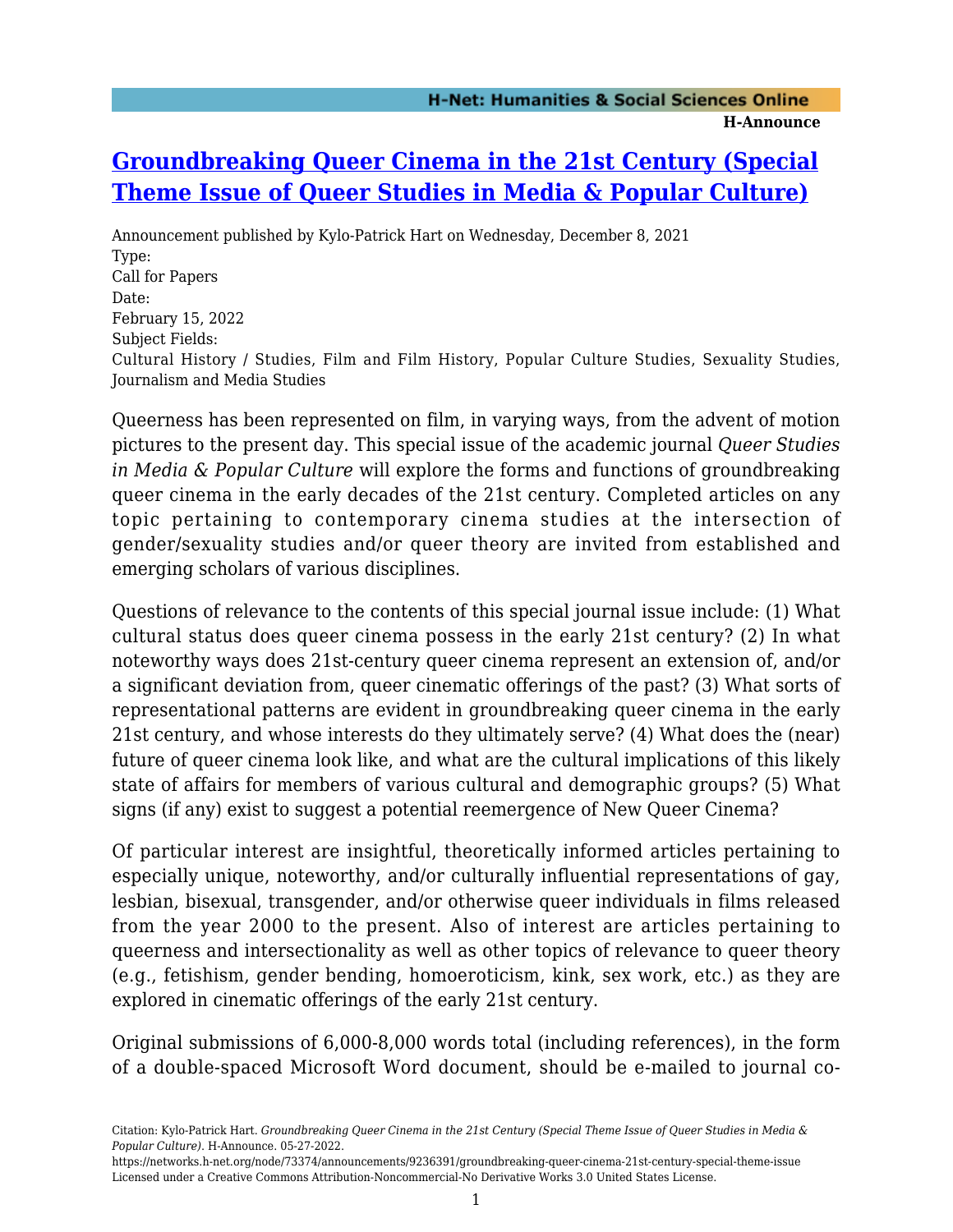## **[Groundbreaking Queer Cinema in the 21st Century \(Special](https://networks.h-net.org/node/73374/announcements/9236391/groundbreaking-queer-cinema-21st-century-special-theme-issue) [Theme Issue of Queer Studies in Media & Popular Culture\)](https://networks.h-net.org/node/73374/announcements/9236391/groundbreaking-queer-cinema-21st-century-special-theme-issue)**

Announcement published by Kylo-Patrick Hart on Wednesday, December 8, 2021 Type: Call for Papers Date: February 15, 2022 Subject Fields: Cultural History / Studies, Film and Film History, Popular Culture Studies, Sexuality Studies, Journalism and Media Studies

Queerness has been represented on film, in varying ways, from the advent of motion pictures to the present day. This special issue of the academic journal *Queer Studies in Media & Popular Culture* will explore the forms and functions of groundbreaking queer cinema in the early decades of the 21st century. Completed articles on any topic pertaining to contemporary cinema studies at the intersection of gender/sexuality studies and/or queer theory are invited from established and emerging scholars of various disciplines.

Questions of relevance to the contents of this special journal issue include: (1) What cultural status does queer cinema possess in the early 21st century? (2) In what noteworthy ways does 21st-century queer cinema represent an extension of, and/or a significant deviation from, queer cinematic offerings of the past? (3) What sorts of representational patterns are evident in groundbreaking queer cinema in the early 21st century, and whose interests do they ultimately serve? (4) What does the (near) future of queer cinema look like, and what are the cultural implications of this likely state of affairs for members of various cultural and demographic groups? (5) What signs (if any) exist to suggest a potential reemergence of New Queer Cinema?

Of particular interest are insightful, theoretically informed articles pertaining to especially unique, noteworthy, and/or culturally influential representations of gay, lesbian, bisexual, transgender, and/or otherwise queer individuals in films released from the year 2000 to the present. Also of interest are articles pertaining to queerness and intersectionality as well as other topics of relevance to queer theory (e.g., fetishism, gender bending, homoeroticism, kink, sex work, etc.) as they are explored in cinematic offerings of the early 21st century.

Original submissions of 6,000-8,000 words total (including references), in the form of a double-spaced Microsoft Word document, should be e-mailed to journal co-

Citation: Kylo-Patrick Hart. *Groundbreaking Queer Cinema in the 21st Century (Special Theme Issue of Queer Studies in Media & Popular Culture)*. H-Announce. 05-27-2022.

https://networks.h-net.org/node/73374/announcements/9236391/groundbreaking-queer-cinema-21st-century-special-theme-issue Licensed under a Creative Commons Attribution-Noncommercial-No Derivative Works 3.0 United States License.